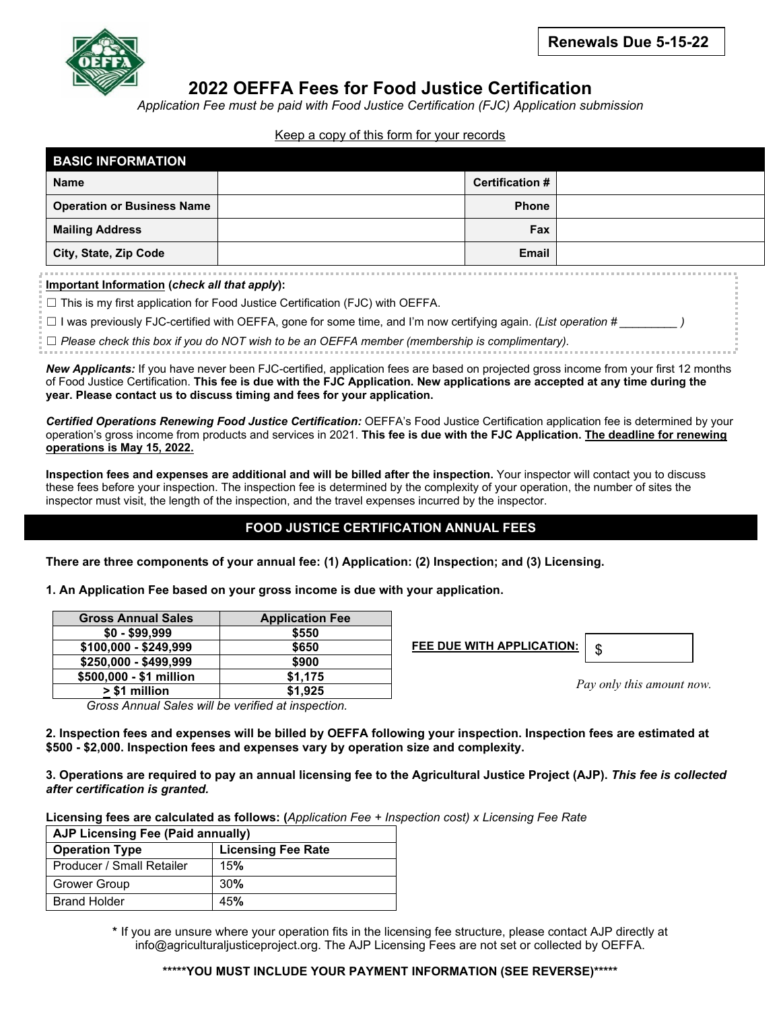

# **2022 OEFFA Fees for Food Justice Certification**

*Application Fee must be paid with Food Justice Certification (FJC) Application submission*

#### Keep a copy of this form for your records

| <b>BASIC INFORMATION</b>          |                        |  |
|-----------------------------------|------------------------|--|
| <b>Name</b>                       | <b>Certification #</b> |  |
| <b>Operation or Business Name</b> | <b>Phone</b>           |  |
| <b>Mailing Address</b>            | <b>Fax</b>             |  |
| City, State, Zip Code             | <b>Email</b>           |  |

**Important Information (***check all that apply***):**

 $\Box$  This is my first application for Food Justice Certification (FJC) with OEFFA.

☐ I was previously FJC-certified with OEFFA, gone for some time, and I'm now certifying again. *(List operation # \_\_\_\_\_\_\_\_\_ )*

☐ *Please check this box if you do NOT wish to be an OEFFA member (membership is complimentary).*

*New Applicants:* If you have never been FJC-certified, application fees are based on projected gross income from your first 12 months of Food Justice Certification. **This fee is due with the FJC Application. New applications are accepted at any time during the year. Please contact us to discuss timing and fees for your application.**

*Certified Operations Renewing Food Justice Certification:* OEFFA's Food Justice Certification application fee is determined by your operation's gross income from products and services in 2021. **This fee is due with the FJC Application. The deadline for renewing operations is May 15, 2022.**

**Inspection fees and expenses are additional and will be billed after the inspection.** Your inspector will contact you to discuss these fees before your inspection. The inspection fee is determined by the complexity of your operation, the number of sites the inspector must visit, the length of the inspection, and the travel expenses incurred by the inspector.

## **FOOD JUSTICE CERTIFICATION ANNUAL FEES**

**There are three components of your annual fee: (1) Application: (2) Inspection; and (3) Licensing.**

**1. An Application Fee based on your gross income is due with your application.** 

| <b>Gross Annual Sales</b> | <b>Application Fee</b> |  |
|---------------------------|------------------------|--|
| $$0 - $99,999$            | \$550                  |  |
| \$100,000 - \$249,999     | \$650                  |  |
| $$250,000 - $499,999$     | \$900                  |  |
| \$500,000 - \$1 million   | \$1.175                |  |
| > \$1 million             | \$1.925                |  |

 **FEE DUE WITH APPLICATION:** 



*Pay only this amount now.*

*Gross Annual Sales will be verified at inspection.*

**2. Inspection fees and expenses will be billed by OEFFA following your inspection. Inspection fees are estimated at \$500 - \$2,000. Inspection fees and expenses vary by operation size and complexity.**

**3. Operations are required to pay an annual licensing fee to the Agricultural Justice Project (AJP).** *This fee is collected after certification is granted.*

**Licensing fees are calculated as follows: (***Application Fee + Inspection cost) x Licensing Fee Rate*

| AJP Licensing Fee (Paid annually) |                           |  |  |  |
|-----------------------------------|---------------------------|--|--|--|
| <b>Operation Type</b>             | <b>Licensing Fee Rate</b> |  |  |  |
| Producer / Small Retailer         | <b>15%</b>                |  |  |  |
| <b>Grower Group</b>               | 30%                       |  |  |  |
| <b>Brand Holder</b>               | 45%                       |  |  |  |

**\*** If you are unsure where your operation fits in the licensing fee structure, please contact AJP directly at info@agriculturaljusticeproject.org. The AJP Licensing Fees are not set or collected by OEFFA.